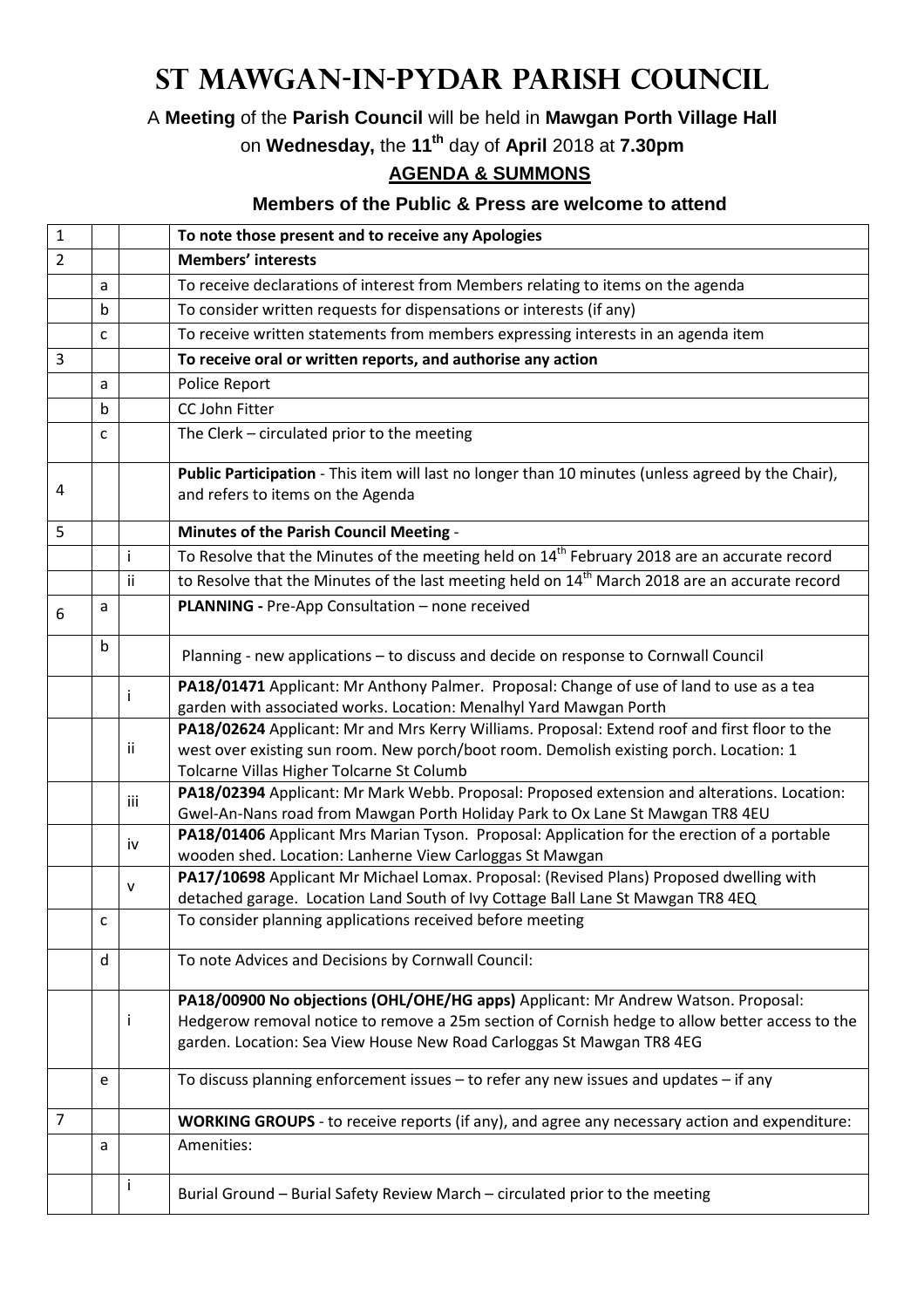## **St Mawgan-in-Pydar Parish Council**

A **Meeting** of the **Parish Council** will be held in **Mawgan Porth Village Hall**

on **Wednesday,** the **11th** day of **April** 2018 at **7.30pm**

## **AGENDA & SUMMONS**

## **Members of the Public & Press are welcome to attend**

| $\mathbf{1}$   |             |     | To note those present and to receive any Apologies                                                                                                                                                                                                           |
|----------------|-------------|-----|--------------------------------------------------------------------------------------------------------------------------------------------------------------------------------------------------------------------------------------------------------------|
| $\overline{2}$ |             |     | <b>Members' interests</b>                                                                                                                                                                                                                                    |
|                | a           |     | To receive declarations of interest from Members relating to items on the agenda                                                                                                                                                                             |
|                | $\mathbf b$ |     | To consider written requests for dispensations or interests (if any)                                                                                                                                                                                         |
|                | C           |     | To receive written statements from members expressing interests in an agenda item                                                                                                                                                                            |
| 3              |             |     | To receive oral or written reports, and authorise any action                                                                                                                                                                                                 |
|                | a           |     | Police Report                                                                                                                                                                                                                                                |
|                | b           |     | CC John Fitter                                                                                                                                                                                                                                               |
|                | C           |     | The Clerk - circulated prior to the meeting                                                                                                                                                                                                                  |
| 4              |             |     | Public Participation - This item will last no longer than 10 minutes (unless agreed by the Chair),<br>and refers to items on the Agenda                                                                                                                      |
| 5              |             |     | Minutes of the Parish Council Meeting -                                                                                                                                                                                                                      |
|                |             | İ   | To Resolve that the Minutes of the meeting held on 14 <sup>th</sup> February 2018 are an accurate record                                                                                                                                                     |
|                |             | ii  | to Resolve that the Minutes of the last meeting held on 14 <sup>th</sup> March 2018 are an accurate record                                                                                                                                                   |
| 6              | a           |     | PLANNING - Pre-App Consultation - none received                                                                                                                                                                                                              |
|                | b           |     | Planning - new applications - to discuss and decide on response to Cornwall Council                                                                                                                                                                          |
|                |             | i   | PA18/01471 Applicant: Mr Anthony Palmer. Proposal: Change of use of land to use as a tea<br>garden with associated works. Location: Menalhyl Yard Mawgan Porth                                                                                               |
|                |             | ij  | PA18/02624 Applicant: Mr and Mrs Kerry Williams. Proposal: Extend roof and first floor to the<br>west over existing sun room. New porch/boot room. Demolish existing porch. Location: 1<br>Tolcarne Villas Higher Tolcarne St Columb                         |
|                |             | iii | PA18/02394 Applicant: Mr Mark Webb. Proposal: Proposed extension and alterations. Location:<br>Gwel-An-Nans road from Mawgan Porth Holiday Park to Ox Lane St Mawgan TR8 4EU                                                                                 |
|                |             | iv  | PA18/01406 Applicant Mrs Marian Tyson. Proposal: Application for the erection of a portable<br>wooden shed. Location: Lanherne View Carloggas St Mawgan                                                                                                      |
|                |             | v   | PA17/10698 Applicant Mr Michael Lomax. Proposal: (Revised Plans) Proposed dwelling with<br>detached garage. Location Land South of Ivy Cottage Ball Lane St Mawgan TR8 4EQ                                                                                   |
|                | c           |     | To consider planning applications received before meeting                                                                                                                                                                                                    |
|                | d           |     | To note Advices and Decisions by Cornwall Council:                                                                                                                                                                                                           |
|                |             | Ť   | PA18/00900 No objections (OHL/OHE/HG apps) Applicant: Mr Andrew Watson. Proposal:<br>Hedgerow removal notice to remove a 25m section of Cornish hedge to allow better access to the<br>garden. Location: Sea View House New Road Carloggas St Mawgan TR8 4EG |
|                | e           |     | To discuss planning enforcement issues - to refer any new issues and updates - if any                                                                                                                                                                        |
| 7              |             |     | WORKING GROUPS - to receive reports (if any), and agree any necessary action and expenditure:                                                                                                                                                                |
|                | a           |     | Amenities:                                                                                                                                                                                                                                                   |
|                |             | Ť   | Burial Ground - Burial Safety Review March - circulated prior to the meeting                                                                                                                                                                                 |